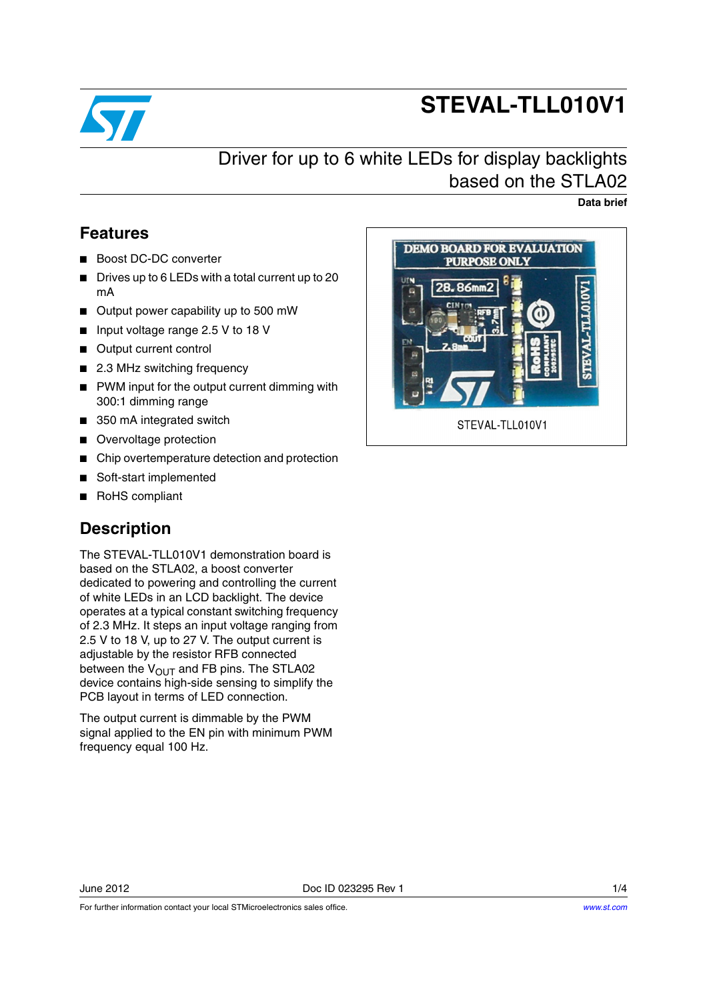

# **STEVAL-TLL010V1**

## Driver for up to 6 white LEDs for display backlights based on the STLA02

**Data brief**

### **Features**

- Boost DC-DC converter
- Drives up to 6 LEDs with a total current up to 20 mA
- Output power capability up to 500 mW
- Input voltage range 2.5 V to 18 V
- Output current control
- 2.3 MHz switching frequency
- PWM input for the output current dimming with 300:1 dimming range
- 350 mA integrated switch
- Overvoltage protection
- Chip overtemperature detection and protection
- Soft-start implemented
- RoHS compliant

### **Description**

The STEVAL-TLL010V1 demonstration board is based on the STLA02, a boost converter dedicated to powering and controlling the current of white LEDs in an LCD backlight. The device operates at a typical constant switching frequency of 2.3 MHz. It steps an input voltage ranging from 2.5 V to 18 V, up to 27 V. The output current is adjustable by the resistor RFB connected between the  $V_{\text{OUT}}$  and FB pins. The STLA02 device contains high-side sensing to simplify the PCB layout in terms of LED connection.

The output current is dimmable by the PWM signal applied to the EN pin with minimum PWM frequency equal 100 Hz.



For further information contact your local STMicroelectronics sales office.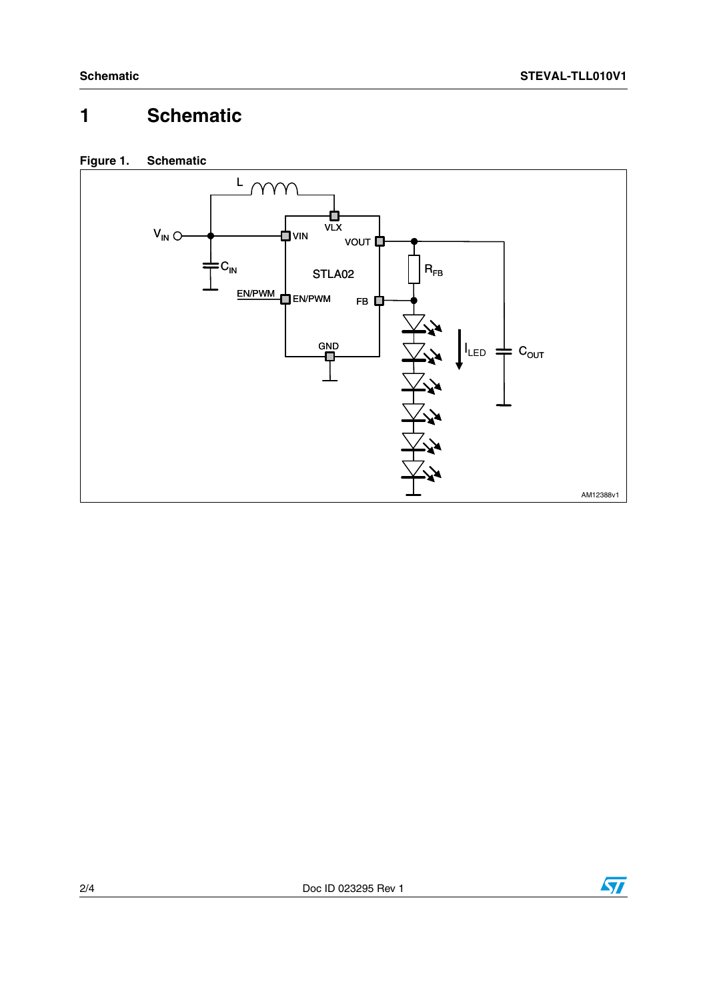### **Schematic**  $\mathbf{1}$





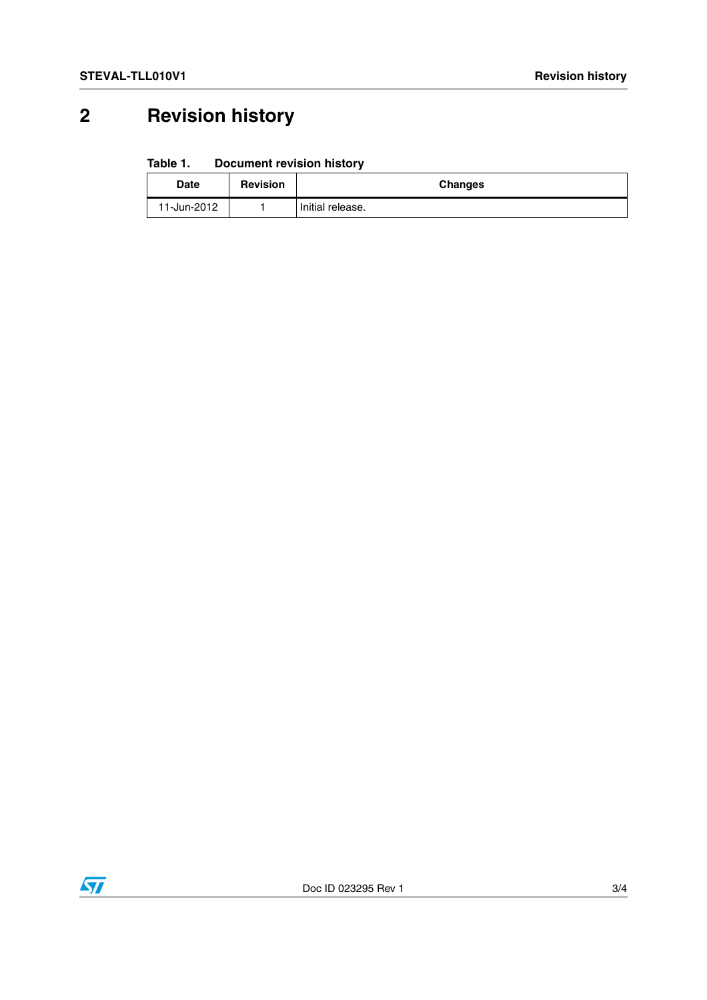## **2 Revision history**

#### Table 1. **Document revision history**

| <b>Date</b> | <b>Revision</b> | Changes          |
|-------------|-----------------|------------------|
| 11-Jun-2012 |                 | Initial release. |